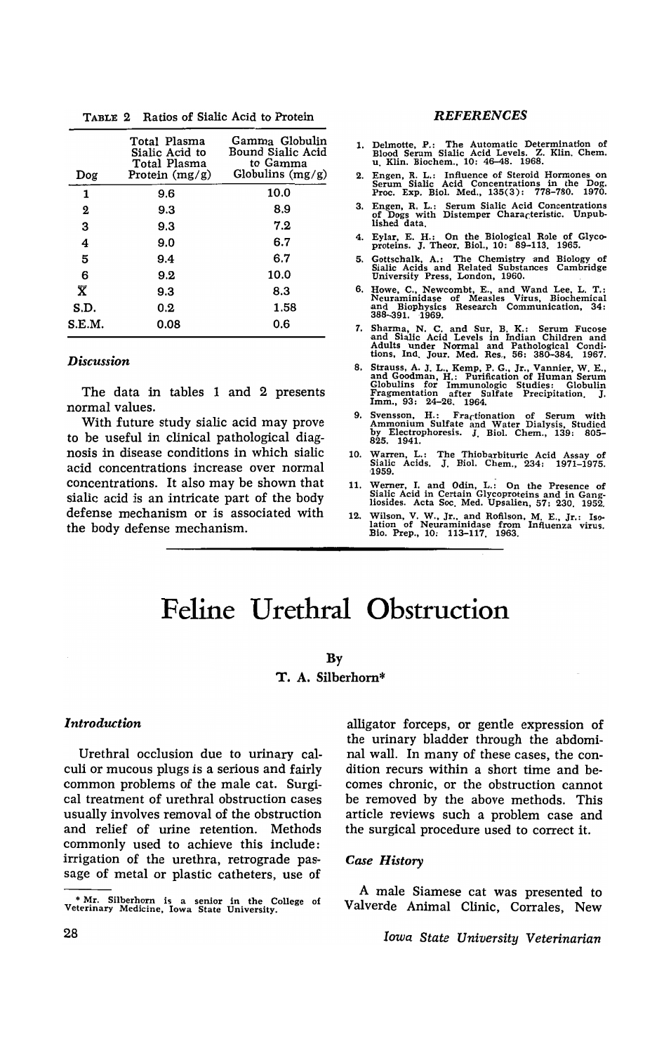| Dog    | Total Plasma<br>Sialic Acid to<br>Total Plasma<br>Protein $(mg/g)$ | Gamma Globulin<br>Bound Sialic Acid<br>to Gamma<br>Globulins $(mg/g)$ |
|--------|--------------------------------------------------------------------|-----------------------------------------------------------------------|
| 1      | 9.6                                                                | 10.0                                                                  |
| 2      | 9.3                                                                | 8.9                                                                   |
| 3      | 9.3                                                                | 7.2                                                                   |
| 4      | 9.0                                                                | 6.7                                                                   |
| 5      | 9.4                                                                | 6.7                                                                   |
| 6      | 9.2                                                                | 10.0                                                                  |
| X      | 9.3                                                                | 8.3                                                                   |
| S.D.   | 0.2                                                                | 1.58                                                                  |
| S.E.M. | 0.08                                                               | 0.6                                                                   |

TABLE 2 Ratios of Sialic Acid to Protein

#### *Discussion*

The data in tables 1 and 2 presents normal values.

With future study sialic acid may prove to be useful in clinical pathological diagnosis in disease conditions in which sialic acid concentrations increase over normal concentrations. It also may be shown that sialic acid is an intricate part of the body defense mechanism or is associated with the body defense mechanism.

#### **REFERENCES**

- 1. Delmotte, P.: The Automatic Determination of Blood Serum Sialic Acid Levels. Z. Klin. Chem. u. Klin. Biochem., 10: 46-48. 1968.
- 2. Engen, R. L.: Influence of Steroid Hormones on Serum Sialic Acid Concentrations in the Dog. Proc. Exp. BioI. Med., 135(3): 778-780. 1970.
- 3. Engen, R. L.: Serum Sialic Acid Concentrations of Dogs with Distemper Characteristic. Unpub· lIshed data.
- 4. Eylar, E. H.: On the Biological Role of Glyco- proteins. J. Tbeor. BioI., 10: 89-113. 1965.
- 5. Gottschalk, A.: The Chemistry -and Biology of Sialic Acids and Related Substances Cambridge University Press, London, 1960.
- 6. Howe, C., Newcombt, E., and Wand Lee, L. T.: Neuraminidase of Measles Virus, Biochemical and Biophysics Research Communication, 34: 388-391.1969.
- 7. Sharma, N. C. and Sur B. K.: Serum Fucose and SIalic Acid Levels In Indian Children and Adults under Normal and Pathological Condi· tions, Ind. Jour. Med. Res., 56: 380-384. 1961.
- 8. Strauss, A. J. L., Kemp, P. G., Jr., Vannier, W. E., and Goodman, H.: PuTification of Human Serum Globulins for Immunologic Studies: Globulin Fragmentation after Sulfate Precipitation. J. Imm., 93: 24-26. 1964.
- 9. Svensson, H.: Fractionation of Serum with Ammonium Sulfate and Water Dialysis, Studied by Electrophoresis. J. BioI. Chern., 139: 805- 825. 1941.
- 10. Warren, L.: The Thiobarbituric Acid Assay of Sialic Acids. J. Biol. Chem., 234: 1971–1975. '1959.
- 11. Werner, I. and Odin, L.: On the Presence of Sialic Acid in Certain Glycoproteins and in Gang· liosides. Acta Soc. Med. Upsalien, 57: 230. 1952.
- 12. Wilson, V. W., Jr., and Rofilson, M. E., Jr.: Iso-<br>
lation of Neuraminidase from Influenza virus.<br>
Bio. Prep., 10: 113–117. 1963.

# **Feline Urethral Obstruction**

### By

# T. A. Silberhom\*

#### *Introduction*

Urethral occlusion due to urinary calculi or mucous plugs is a serious and fairly common problems of the male cat. Surgical treatment of urethral obstruction cases usually involves removal of the obstruction and relief of urine retention. Methods commonly used to achieve this include: irrigation of the urethra, retrograde passage of metal or plastic catheters, use of

alligator forceps, or gentle expression of the urinary bladder through the abdominal wall. In many of these cases, the condition recurs within a short time and becomes chronic, or the obstruction cannot be removed by the above methods. This article reviews such a problem case and the surgical procedure used to correct it.

#### *Case History*

A male Siamese cat was presented to Valverde Animal Clinic, Corrales, New

*Iowa State University Veterinarian* 

<sup>\*</sup> Mr. Silberhorn is a senior in the College of Veterinary Medicine, Iowa State University.